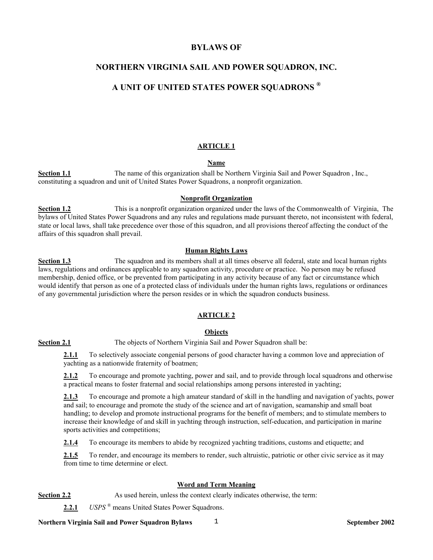# **BYLAWS OF**

# **NORTHERN VIRGINIA SAIL AND POWER SQUADRON, INC.**

# **A UNIT OF UNITED STATES POWER SQUADRONS ®**

### **ARTICLE 1**

# **Name**

**Section 1.1** The name of this organization shall be Northern Virginia Sail and Power Squadron, Inc., constituting a squadron and unit of United States Power Squadrons, a nonprofit organization.

### **Nonprofit Organization**

**Section 1.2** This is a nonprofit organization organized under the laws of the Commonwealth of Virginia, The bylaws of United States Power Squadrons and any rules and regulations made pursuant thereto, not inconsistent with federal, state or local laws, shall take precedence over those of this squadron, and all provisions thereof affecting the conduct of the affairs of this squadron shall prevail.

### **Human Rights Laws**

**Section 1.3** The squadron and its members shall at all times observe all federal, state and local human rights laws, regulations and ordinances applicable to any squadron activity, procedure or practice. No person may be refused membership, denied office, or be prevented from participating in any activity because of any fact or circumstance which would identify that person as one of a protected class of individuals under the human rights laws, regulations or ordinances of any governmental jurisdiction where the person resides or in which the squadron conducts business.

# **ARTICLE 2**

### **Objects**

**Section 2.1** The objects of Northern Virginia Sail and Power Squadron shall be:

**2.1.1** To selectively associate congenial persons of good character having a common love and appreciation of yachting as a nationwide fraternity of boatmen;

**2.1.2** To encourage and promote yachting, power and sail, and to provide through local squadrons and otherwise a practical means to foster fraternal and social relationships among persons interested in yachting;

**2.1.3** To encourage and promote a high amateur standard of skill in the handling and navigation of yachts, power and sail; to encourage and promote the study of the science and art of navigation, seamanship and small boat handling; to develop and promote instructional programs for the benefit of members; and to stimulate members to increase their knowledge of and skill in yachting through instruction, self-education, and participation in marine sports activities and competitions;

**2.1.4** To encourage its members to abide by recognized yachting traditions, customs and etiquette; and

**2.1.5** To render, and encourage its members to render, such altruistic, patriotic or other civic service as it may from time to time determine or elect.

# **Word and Term Meaning**

**Section 2.2** As used herein, unless the context clearly indicates otherwise, the term:

**2.2.1** *USPS* ® means United States Power Squadrons.

**Northern Virginia Sail and Power Squadron Bylaws**  $\frac{1}{1}$  **1. The september 2002 1. September 2002 1. In the september 2002 1. In the september 2002 1. In the september 2002 1. In the september 2002 1. In the september 20**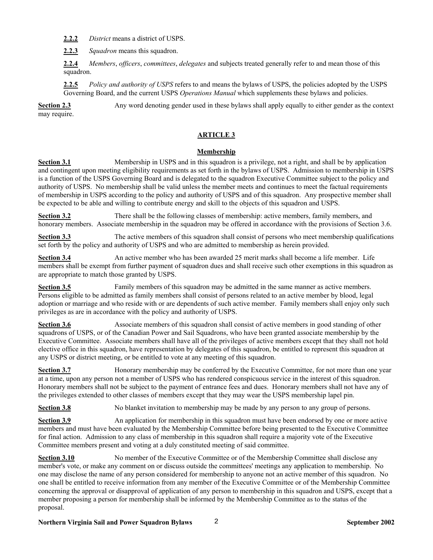**2.2.2** *District* means a district of USPS.

**2.2.3** *Squadron* means this squadron.

**2.2.4** *Members*, *officers*, *committees*, *delegates* and subjects treated generally refer to and mean those of this squadron.

**2.2.5** *Policy and authority of USPS* refers to and means the bylaws of USPS, the policies adopted by the USPS Governing Board, and the current USPS *Operations Manual* which supplements these bylaws and policies.

**Section 2.3** Any word denoting gender used in these bylaws shall apply equally to either gender as the context may require.

### **ARTICLE 3**

### **Membership**

**Section 3.1** Membership in USPS and in this squadron is a privilege, not a right, and shall be by application and contingent upon meeting eligibility requirements as set forth in the bylaws of USPS. Admission to membership in USPS is a function of the USPS Governing Board and is delegated to the squadron Executive Committee subject to the policy and authority of USPS. No membership shall be valid unless the member meets and continues to meet the factual requirements of membership in USPS according to the policy and authority of USPS and of this squadron. Any prospective member shall be expected to be able and willing to contribute energy and skill to the objects of this squadron and USPS.

**Section 3.2** There shall be the following classes of membership: active members, family members, and honorary members. Associate membership in the squadron may be offered in accordance with the provisions of Section 3.6.

**Section 3.3** The active members of this squadron shall consist of persons who meet membership qualifications set forth by the policy and authority of USPS and who are admitted to membership as herein provided.

**Section 3.4** An active member who has been awarded 25 merit marks shall become a life member. Life members shall be exempt from further payment of squadron dues and shall receive such other exemptions in this squadron as are appropriate to match those granted by USPS.

**Section 3.5** Family members of this squadron may be admitted in the same manner as active members. Persons eligible to be admitted as family members shall consist of persons related to an active member by blood, legal adoption or marriage and who reside with or are dependents of such active member. Family members shall enjoy only such privileges as are in accordance with the policy and authority of USPS.

**Section 3.6** Associate members of this squadron shall consist of active members in good standing of other squadrons of USPS, or of the Canadian Power and Sail Squadrons, who have been granted associate membership by the Executive Committee. Associate members shall have all of the privileges of active members except that they shall not hold elective office in this squadron, have representation by delegates of this squadron, be entitled to represent this squadron at any USPS or district meeting, or be entitled to vote at any meeting of this squadron.

**Section 3.7** Honorary membership may be conferred by the Executive Committee, for not more than one year at a time, upon any person not a member of USPS who has rendered conspicuous service in the interest of this squadron. Honorary members shall not be subject to the payment of entrance fees and dues. Honorary members shall not have any of the privileges extended to other classes of members except that they may wear the USPS membership lapel pin.

**Section 3.8** No blanket invitation to membership may be made by any person to any group of persons.

**Section 3.9** An application for membership in this squadron must have been endorsed by one or more active members and must have been evaluated by the Membership Committee before being presented to the Executive Committee for final action. Admission to any class of membership in this squadron shall require a majority vote of the Executive Committee members present and voting at a duly constituted meeting of said committee.

**Section 3.10** No member of the Executive Committee or of the Membership Committee shall disclose any member's vote, or make any comment on or discuss outside the committees' meetings any application to membership. No one may disclose the name of any person considered for membership to anyone not an active member of this squadron. No one shall be entitled to receive information from any member of the Executive Committee or of the Membership Committee concerning the approval or disapproval of application of any person to membership in this squadron and USPS, except that a member proposing a person for membership shall be informed by the Membership Committee as to the status of the proposal.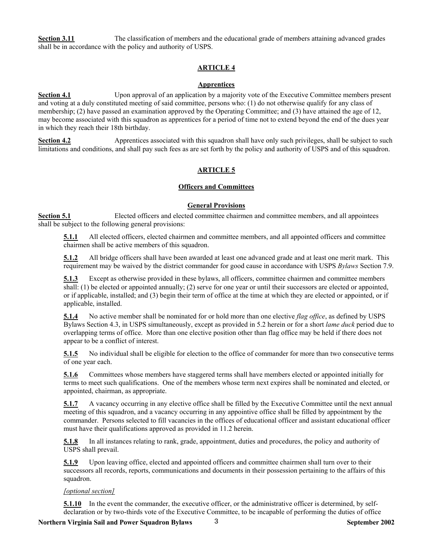**Section 3.11** The classification of members and the educational grade of members attaining advanced grades shall be in accordance with the policy and authority of USPS.

### **ARTICLE 4**

### **Apprentices**

**Section 4.1** Upon approval of an application by a majority vote of the Executive Committee members present and voting at a duly constituted meeting of said committee, persons who: (1) do not otherwise qualify for any class of membership; (2) have passed an examination approved by the Operating Committee; and (3) have attained the age of 12, may become associated with this squadron as apprentices for a period of time not to extend beyond the end of the dues year in which they reach their 18th birthday.

**Section 4.2** Apprentices associated with this squadron shall have only such privileges, shall be subject to such limitations and conditions, and shall pay such fees as are set forth by the policy and authority of USPS and of this squadron.

### **ARTICLE 5**

### **Officers and Committees**

### **General Provisions**

**Section 5.1** Elected officers and elected committee chairmen and committee members, and all appointees shall be subject to the following general provisions:

**5.1.1** All elected officers, elected chairmen and committee members, and all appointed officers and committee chairmen shall be active members of this squadron.

**5.1.2** All bridge officers shall have been awarded at least one advanced grade and at least one merit mark. This requirement may be waived by the district commander for good cause in accordance with USPS *Bylaws* Section 7.9.

**5.1.3** Except as otherwise provided in these bylaws, all officers, committee chairmen and committee members shall: (1) be elected or appointed annually; (2) serve for one year or until their successors are elected or appointed, or if applicable, installed; and (3) begin their term of office at the time at which they are elected or appointed, or if applicable, installed.

**5.1.4** No active member shall be nominated for or hold more than one elective *flag office*, as defined by USPS Bylaws Section 4.3, in USPS simultaneously, except as provided in 5.2 herein or for a short *lame duck* period due to overlapping terms of office. More than one elective position other than flag office may be held if there does not appear to be a conflict of interest.

**5.1.5** No individual shall be eligible for election to the office of commander for more than two consecutive terms of one year each.

**5.1.6** Committees whose members have staggered terms shall have members elected or appointed initially for terms to meet such qualifications. One of the members whose term next expires shall be nominated and elected, or appointed, chairman, as appropriate.

**5.1.7** A vacancy occurring in any elective office shall be filled by the Executive Committee until the next annual meeting of this squadron, and a vacancy occurring in any appointive office shall be filled by appointment by the commander. Persons selected to fill vacancies in the offices of educational officer and assistant educational officer must have their qualifications approved as provided in 11.2 herein.

**5.1.8** In all instances relating to rank, grade, appointment, duties and procedures, the policy and authority of USPS shall prevail.

**5.1.9** Upon leaving office, elected and appointed officers and committee chairmen shall turn over to their successors all records, reports, communications and documents in their possession pertaining to the affairs of this squadron.

### *[optional section]*

**5.1.10** In the event the commander, the executive officer, or the administrative officer is determined, by selfdeclaration or by two-thirds vote of the Executive Committee, to be incapable of performing the duties of office

**Northern Virginia Sail and Power Squadron Bylaws** 3 3 3 3 **September 2002**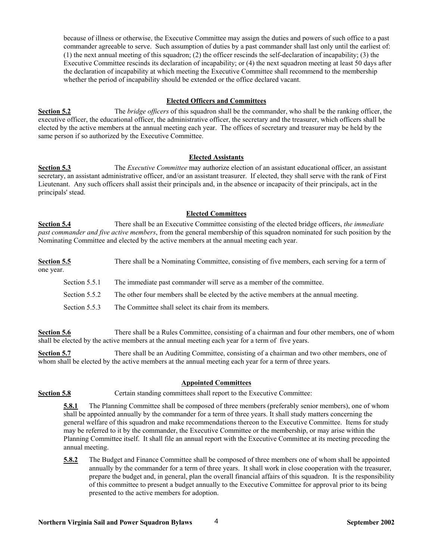because of illness or otherwise, the Executive Committee may assign the duties and powers of such office to a past commander agreeable to serve. Such assumption of duties by a past commander shall last only until the earliest of: (1) the next annual meeting of this squadron; (2) the officer rescinds the self-declaration of incapability; (3) the Executive Committee rescinds its declaration of incapability; or (4) the next squadron meeting at least 50 days after the declaration of incapability at which meeting the Executive Committee shall recommend to the membership whether the period of incapability should be extended or the office declared vacant.

### **Elected Officers and Committees**

**Section 5.2** The *bridge officers* of this squadron shall be the commander, who shall be the ranking officer, the executive officer, the educational officer, the administrative officer, the secretary and the treasurer, which officers shall be elected by the active members at the annual meeting each year. The offices of secretary and treasurer may be held by the same person if so authorized by the Executive Committee.

### **Elected Assistants**

**Section 5.3** The *Executive Committee* may authorize election of an assistant educational officer, an assistant secretary, an assistant administrative officer, and/or an assistant treasurer. If elected, they shall serve with the rank of First Lieutenant. Any such officers shall assist their principals and, in the absence or incapacity of their principals, act in the principals' stead.

### **Elected Committees**

**Section 5.4** There shall be an Executive Committee consisting of the elected bridge officers, *the immediate past commander and five active members*, from the general membership of this squadron nominated for such position by the Nominating Committee and elected by the active members at the annual meeting each year.

| Section 5.5   | There shall be a Nominating Committee, consisting of five members, each serving for a term of |
|---------------|-----------------------------------------------------------------------------------------------|
| one year.     |                                                                                               |
| Section 5.5.1 | The immediate past commander will serve as a member of the committee.                         |
| Section 5.5.2 | The other four members shall be elected by the active members at the annual meeting.          |
| Section 5.5.3 | The Committee shall select its chair from its members.                                        |

**Section 5.6** There shall be a Rules Committee, consisting of a chairman and four other members, one of whom shall be elected by the active members at the annual meeting each year for a term of five years.

**Section 5.7** There shall be an Auditing Committee, consisting of a chairman and two other members, one of whom shall be elected by the active members at the annual meeting each year for a term of three years.

### **Appointed Committees**

**Section 5.8** Certain standing committees shall report to the Executive Committee:

**5.8.1** The Planning Committee shall be composed of three members (preferably senior members), one of whom shall be appointed annually by the commander for a term of three years. It shall study matters concerning the general welfare of this squadron and make recommendations thereon to the Executive Committee. Items for study may be referred to it by the commander, the Executive Committee or the membership, or may arise within the Planning Committee itself. It shall file an annual report with the Executive Committee at its meeting preceding the annual meeting.

**5.8.2** The Budget and Finance Committee shall be composed of three members one of whom shall be appointed annually by the commander for a term of three years. It shall work in close cooperation with the treasurer, prepare the budget and, in general, plan the overall financial affairs of this squadron. It is the responsibility of this committee to present a budget annually to the Executive Committee for approval prior to its being presented to the active members for adoption.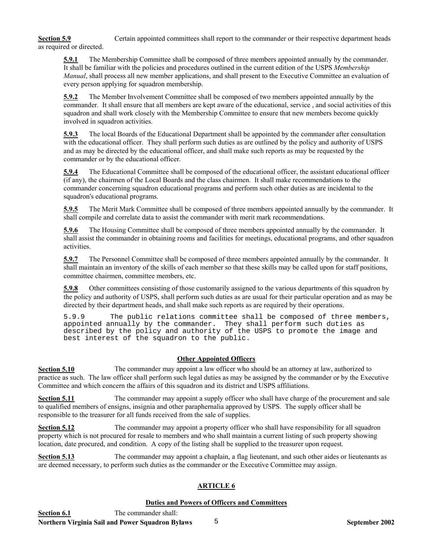# **Section 5.9** Certain appointed committees shall report to the commander or their respective department heads as required or directed.

**5.9.1** The Membership Committee shall be composed of three members appointed annually by the commander. It shall be familiar with the policies and procedures outlined in the current edition of the USPS *Membership Manual*, shall process all new member applications, and shall present to the Executive Committee an evaluation of every person applying for squadron membership.

**5.9.2** The Member Involvement Committee shall be composed of two members appointed annually by the commander. It shall ensure that all members are kept aware of the educational, service , and social activities of this squadron and shall work closely with the Membership Committee to ensure that new members become quickly involved in squadron activities.

**5.9.3** The local Boards of the Educational Department shall be appointed by the commander after consultation with the educational officer. They shall perform such duties as are outlined by the policy and authority of USPS and as may be directed by the educational officer, and shall make such reports as may be requested by the commander or by the educational officer.

**5.9.4** The Educational Committee shall be composed of the educational officer, the assistant educational officer (if any), the chairmen of the Local Boards and the class chairmen. It shall make recommendations to the commander concerning squadron educational programs and perform such other duties as are incidental to the squadron's educational programs.

**5.9.5** The Merit Mark Committee shall be composed of three members appointed annually by the commander. It shall compile and correlate data to assist the commander with merit mark recommendations.

**5.9.6** The Housing Committee shall be composed of three members appointed annually by the commander. It shall assist the commander in obtaining rooms and facilities for meetings, educational programs, and other squadron activities.

**5.9.7** The Personnel Committee shall be composed of three members appointed annually by the commander. It shall maintain an inventory of the skills of each member so that these skills may be called upon for staff positions, committee chairmen, committee members, etc.

**5.9.8** Other committees consisting of those customarily assigned to the various departments of this squadron by the policy and authority of USPS, shall perform such duties as are usual for their particular operation and as may be directed by their department heads, and shall make such reports as are required by their operations.

5.9.9 The public relations committee shall be composed of three members, appointed annually by the commander. They shall perform such duties as described by the policy and authority of the USPS to promote the image and best interest of the squadron to the public.

# **Other Appointed Officers**

**Section 5.10** The commander may appoint a law officer who should be an attorney at law, authorized to practice as such. The law officer shall perform such legal duties as may be assigned by the commander or by the Executive Committee and which concern the affairs of this squadron and its district and USPS affiliations.

**Section 5.11** The commander may appoint a supply officer who shall have charge of the procurement and sale to qualified members of ensigns, insignia and other paraphernalia approved by USPS. The supply officer shall be responsible to the treasurer for all funds received from the sale of supplies.

**Section 5.12** The commander may appoint a property officer who shall have responsibility for all squadron property which is not procured for resale to members and who shall maintain a current listing of such property showing location, date procured, and condition. A copy of the listing shall be supplied to the treasurer upon request.

**Section 5.13** The commander may appoint a chaplain, a flag lieutenant, and such other aides or lieutenants as are deemed necessary, to perform such duties as the commander or the Executive Committee may assign.

# **ARTICLE 6**

# **Duties and Powers of Officers and Committees**

Northern Virginia Sail and Power Squadron Bylaws 5 5 5 5 September 2002 **Section 6.1** The commander shall: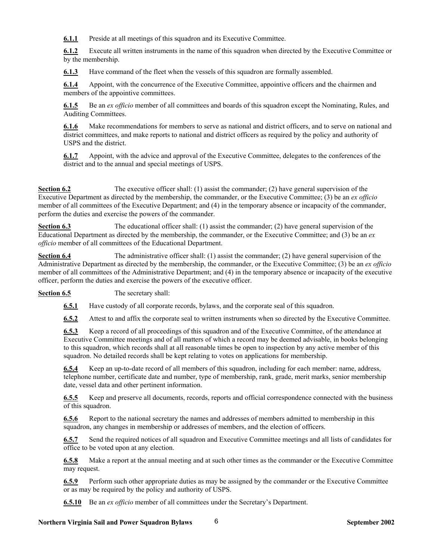**6.1.1** Preside at all meetings of this squadron and its Executive Committee.

**6.1.2** Execute all written instruments in the name of this squadron when directed by the Executive Committee or by the membership.

**6.1.3** Have command of the fleet when the vessels of this squadron are formally assembled.

**6.1.4** Appoint, with the concurrence of the Executive Committee, appointive officers and the chairmen and members of the appointive committees.

**6.1.5** Be an *ex officio* member of all committees and boards of this squadron except the Nominating, Rules, and Auditing Committees.

**6.1.6** Make recommendations for members to serve as national and district officers, and to serve on national and district committees, and make reports to national and district officers as required by the policy and authority of USPS and the district.

**6.1.7** Appoint, with the advice and approval of the Executive Committee, delegates to the conferences of the district and to the annual and special meetings of USPS.

**Section 6.2** The executive officer shall: (1) assist the commander; (2) have general supervision of the Executive Department as directed by the membership, the commander, or the Executive Committee; (3) be an *ex officio* member of all committees of the Executive Department; and (4) in the temporary absence or incapacity of the commander, perform the duties and exercise the powers of the commander.

**Section 6.3** The educational officer shall: (1) assist the commander; (2) have general supervision of the Educational Department as directed by the membership, the commander, or the Executive Committee; and (3) be an *ex officio* member of all committees of the Educational Department.

**Section 6.4** The administrative officer shall: (1) assist the commander; (2) have general supervision of the Administrative Department as directed by the membership, the commander, or the Executive Committee; (3) be an *ex officio* member of all committees of the Administrative Department; and (4) in the temporary absence or incapacity of the executive officer, perform the duties and exercise the powers of the executive officer.

**Section 6.5** The secretary shall:

**6.5.1** Have custody of all corporate records, bylaws, and the corporate seal of this squadron.

**6.5.2** Attest to and affix the corporate seal to written instruments when so directed by the Executive Committee.

**6.5.3** Keep a record of all proceedings of this squadron and of the Executive Committee, of the attendance at Executive Committee meetings and of all matters of which a record may be deemed advisable, in books belonging to this squadron, which records shall at all reasonable times be open to inspection by any active member of this squadron. No detailed records shall be kept relating to votes on applications for membership.

**6.5.4** Keep an up-to-date record of all members of this squadron, including for each member: name, address, telephone number, certificate date and number, type of membership, rank, grade, merit marks, senior membership date, vessel data and other pertinent information.

**6.5.5** Keep and preserve all documents, records, reports and official correspondence connected with the business of this squadron.

**6.5.6** Report to the national secretary the names and addresses of members admitted to membership in this squadron, any changes in membership or addresses of members, and the election of officers.

**6.5.7** Send the required notices of all squadron and Executive Committee meetings and all lists of candidates for office to be voted upon at any election.

**6.5.8** Make a report at the annual meeting and at such other times as the commander or the Executive Committee may request.

**6.5.9** Perform such other appropriate duties as may be assigned by the commander or the Executive Committee or as may be required by the policy and authority of USPS.

**6.5.10** Be an *ex officio* member of all committees under the Secretary's Department.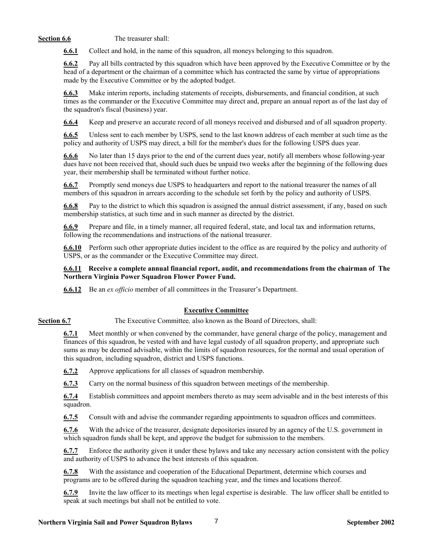**Section 6.6** The treasurer shall:

**6.6.1** Collect and hold, in the name of this squadron, all moneys belonging to this squadron.

**6.6.2** Pay all bills contracted by this squadron which have been approved by the Executive Committee or by the head of a department or the chairman of a committee which has contracted the same by virtue of appropriations made by the Executive Committee or by the adopted budget.

**6.6.3** Make interim reports, including statements of receipts, disbursements, and financial condition, at such times as the commander or the Executive Committee may direct and, prepare an annual report as of the last day of the squadron's fiscal (business) year.

**6.6.4** Keep and preserve an accurate record of all moneys received and disbursed and of all squadron property.

**6.6.5** Unless sent to each member by USPS, send to the last known address of each member at such time as the policy and authority of USPS may direct, a bill for the member's dues for the following USPS dues year.

**6.6.6** No later than 15 days prior to the end of the current dues year, notify all members whose following-year dues have not been received that, should such dues be unpaid two weeks after the beginning of the following dues year, their membership shall be terminated without further notice.

**6.6.7** Promptly send moneys due USPS to headquarters and report to the national treasurer the names of all members of this squadron in arrears according to the schedule set forth by the policy and authority of USPS.

**6.6.8** Pay to the district to which this squadron is assigned the annual district assessment, if any, based on such membership statistics, at such time and in such manner as directed by the district.

**6.6.9** Prepare and file, in a timely manner, all required federal, state, and local tax and information returns, following the recommendations and instructions of the national treasurer.

**6.6.10** Perform such other appropriate duties incident to the office as are required by the policy and authority of USPS, or as the commander or the Executive Committee may direct.

**6.6.11 Receive a complete annual financial report, audit, and recommendations from the chairman of The Northern Virginia Power Squadron Flower Power Fund.** 

**6.6.12** Be an *ex officio* member of all committees in the Treasurer's Department.

# **Executive Committee**

**Section 6.7** The Executive Committee, also known as the Board of Directors, shall:

**6.7.1** Meet monthly or when convened by the commander, have general charge of the policy, management and finances of this squadron, be vested with and have legal custody of all squadron property, and appropriate such sums as may be deemed advisable, within the limits of squadron resources, for the normal and usual operation of this squadron, including squadron, district and USPS functions.

**6.7.2** Approve applications for all classes of squadron membership.

**6.7.3** Carry on the normal business of this squadron between meetings of the membership.

**6.7.4** Establish committees and appoint members thereto as may seem advisable and in the best interests of this squadron.

**6.7.5** Consult with and advise the commander regarding appointments to squadron offices and committees.

**6.7.6** With the advice of the treasurer, designate depositories insured by an agency of the U.S. government in which squadron funds shall be kept, and approve the budget for submission to the members.

**6.7.7** Enforce the authority given it under these bylaws and take any necessary action consistent with the policy and authority of USPS to advance the best interests of this squadron.

**6.7.8** With the assistance and cooperation of the Educational Department, determine which courses and programs are to be offered during the squadron teaching year, and the times and locations thereof.

**6.7.9** Invite the law officer to its meetings when legal expertise is desirable. The law officer shall be entitled to speak at such meetings but shall not be entitled to vote.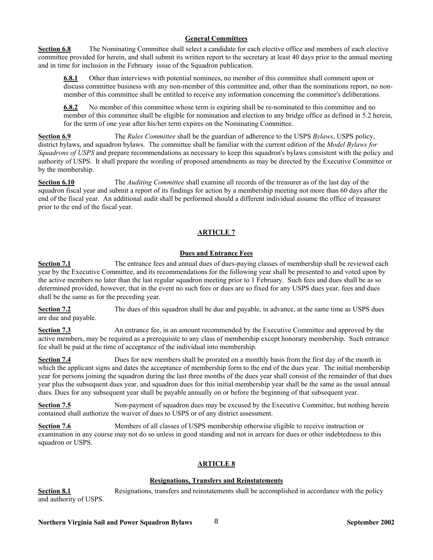### **General Committees**

**Section 6.8** The Nominating Committee shall select a candidate for each elective office and members of each elective committee provided for herein, and shall submit its written report to the secretary at least 40 days prior to the annual meeting and in time for inclusion in the February issue of the Squadron publication.

**6.8.1** Other than interviews with potential nominees, no member of this committee shall comment upon or discuss committee business with any non-member of this committee and, other than the nominations report, no nonmember of this committee shall be entitled to receive any information concerning the committee's deliberations.

**6.8.2** No member of this committee whose term is expiring shall be re-nominated to this committee and no member of this committee shall be eligible for nomination and election to any bridge office as defined in 5.2 herein, for the term of one year after his/her term expires on the Nominating Committee.

**Section 6.9** The *Rules Committee* shall be the guardian of adherence to the USPS *Bylaws*, USPS policy, district bylaws, and squadron bylaws. The committee shall be familiar with the current edition of the *Model Bylaws for Squadrons of USPS* and prepare recommendations as necessary to keep this squadron's bylaws consistent with the policy and authority of USPS. It shall prepare the wording of proposed amendments as may be directed by the Executive Committee or by the membership.

**Section 6.10** The *Auditing Committee* shall examine all records of the treasurer as of the last day of the squadron fiscal year and submit a report of its findings for action by a membership meeting not more than 60 days after the end of the fiscal year. An additional audit shall be performed should a different individual assume the office of treasurer prior to the end of the fiscal year.

## **ARTICLE 7**

## **Dues and Entrance Fees**

**Section 7.1** The entrance fees and annual dues of dues-paying classes of membership shall be reviewed each year by the Executive Committee, and its recommendations for the following year shall be presented to and voted upon by the active members no later than the last regular squadron meeting prior to 1 February. Such fees and dues shall be as so determined provided, however, that in the event no such fees or dues are so fixed for any USPS dues year, fees and dues shall be the same as for the preceding year.

**Section 7.2** The dues of this squadron shall be due and payable, in advance, at the same time as USPS dues are due and payable.

**Section 7.3** An entrance fee, in an amount recommended by the Executive Committee and approved by the active members, may be required as a prerequisite to any class of membership except honorary membership. Such entrance fee shall be paid at the time of acceptance of the individual into membership.

**Section 7.4** Dues for new members shall be prorated on a monthly basis from the first day of the month in which the applicant signs and dates the acceptance of membership form to the end of the dues year. The initial membership year for persons joining the squadron during the last three months of the dues year shall consist of the remainder of that dues year plus the subsequent dues year, and squadron dues for this initial membership year shall be the same as the usual annual dues. Dues for any subsequent year shall be payable annually on or before the beginning of that subsequent year.

**Section 7.5** Non-payment of squadron dues may be excused by the Executive Committee, but nothing herein contained shall authorize the waiver of dues to USPS or of any district assessment.

**Section 7.6** Members of all classes of USPS membership otherwise eligible to receive instruction or examination in any course may not do so unless in good standing and not in arrears for dues or other indebtedness to this squadron or USPS.

### **ARTICLE 8**

### **Resignations, Transfers and Reinstatements**

**Section 8.1** Resignations, transfers and reinstatements shall be accomplished in accordance with the policy and authority of USPS.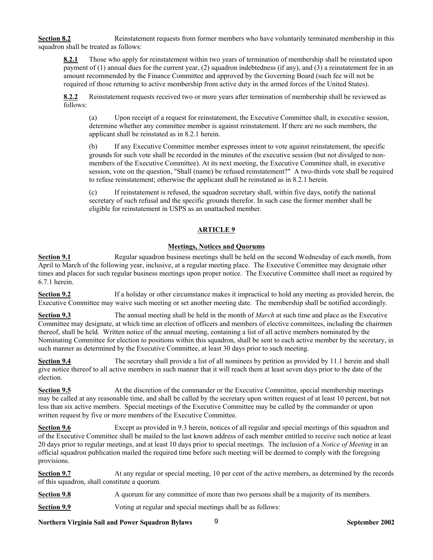**Section 8.2** Reinstatement requests from former members who have voluntarily terminated membership in this squadron shall be treated as follows:

**8.2.1** Those who apply for reinstatement within two years of termination of membership shall be reinstated upon payment of (1) annual dues for the current year, (2) squadron indebtedness (if any), and (3) a reinstatement fee in an amount recommended by the Finance Committee and approved by the Governing Board (such fee will not be required of those returning to active membership from active duty in the armed forces of the United States).

**8.2.2** Reinstatement requests received two or more years after termination of membership shall be reviewed as follows:

(a) Upon receipt of a request for reinstatement, the Executive Committee shall, in executive session, determine whether any committee member is against reinstatement. If there are no such members, the applicant shall be reinstated as in 8.2.1 herein.

(b) If any Executive Committee member expresses intent to vote against reinstatement, the specific grounds for such vote shall be recorded in the minutes of the executive session (but not divulged to nonmembers of the Executive Committee). At its next meeting, the Executive Committee shall, in executive session, vote on the question, "Shall (name) be refused reinstatement?" A two-thirds vote shall be required to refuse reinstatement; otherwise the applicant shall be reinstated as in 8.2.1 herein.

(c) If reinstatement is refused, the squadron secretary shall, within five days, notify the national secretary of such refusal and the specific grounds therefor. In such case the former member shall be eligible for reinstatement in USPS as an unattached member.

### **ARTICLE 9**

## **Meetings, Notices and Quorums**

**Section 9.1** Regular squadron business meetings shall be held on the second Wednesday of each month, from April to March of the following year, inclusive, at a regular meeting place. The Executive Committee may designate other times and places for such regular business meetings upon proper notice. The Executive Committee shall meet as required by 6.7.1 herein.

**Section 9.2** If a holiday or other circumstance makes it impractical to hold any meeting as provided herein, the Executive Committee may waive such meeting or set another meeting date. The membership shall be notified accordingly.

**Section 9.3** The annual meeting shall be held in the month of *March* at such time and place as the Executive Committee may designate, at which time an election of officers and members of elective committees, including the chairmen thereof, shall be held. Written notice of the annual meeting, containing a list of all active members nominated by the Nominating Committee for election to positions within this squadron, shall be sent to each active member by the secretary, in such manner as determined by the Executive Committee, at least 30 days prior to such meeting.

**Section 9.4** The secretary shall provide a list of all nominees by petition as provided by 11.1 herein and shall give notice thereof to all active members in such manner that it will reach them at least seven days prior to the date of the election.

**Section 9.5** At the discretion of the commander or the Executive Committee, special membership meetings may be called at any reasonable time, and shall be called by the secretary upon written request of at least 10 percent, but not less than six active members. Special meetings of the Executive Committee may be called by the commander or upon written request by five or more members of the Executive Committee.

**Section 9.6** Except as provided in 9.3 herein, notices of all regular and special meetings of this squadron and of the Executive Committee shall be mailed to the last known address of each member entitled to receive such notice at least 20 days prior to regular meetings, and at least 10 days prior to special meetings. The inclusion of a *Notice of Meeting* in an official squadron publication mailed the required time before such meeting will be deemed to comply with the foregoing provisions.

**Section 9.7** At any regular or special meeting, 10 per cent of the active members, as determined by the records of this squadron, shall constitute a quorum.

**Section 9.8** A quorum for any committee of more than two persons shall be a majority of its members.

**Section 9.9** Voting at regular and special meetings shall be as follows:

**Northern Virginia Sail and Power Squadron Bylaws September 2002** 9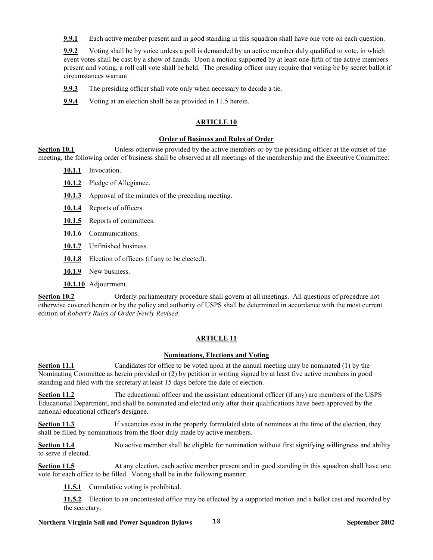**9.9.1** Each active member present and in good standing in this squadron shall have one vote on each question.

**9.9.2** Voting shall be by voice unless a poll is demanded by an active member duly qualified to vote, in which event votes shall be cast by a show of hands. Upon a motion supported by at least one-fifth of the active members present and voting, a roll call vote shall be held. The presiding officer may require that voting be by secret ballot if circumstances warrant.

**9.9.3** The presiding officer shall vote only when necessary to decide a tie.

**9.9.4** Voting at an election shall be as provided in 11.5 herein.

# **ARTICLE 10**

### **Order of Business and Rules of Order**

**Section 10.1** Unless otherwise provided by the active members or by the presiding officer at the outset of the meeting, the following order of business shall be observed at all meetings of the membership and the Executive Committee:

- **10.1.1** Invocation.
- **10.1.2** Pledge of Allegiance.
- **10.1.3** Approval of the minutes of the preceding meeting.
- **10.1.4** Reports of officers.
- 10.1.5 Reports of committees.
- **10.1.6** Communications.
- **10.1.7** Unfinished business.
- **10.1.8** Election of officers (if any to be elected).
- **10.1.9** New business.
- **10.1.10** Adjourrment.

**Section 10.2** Orderly parliamentary procedure shall govern at all meetings. All questions of procedure not otherwise covered herein or by the policy and authority of USPS shall be determined in accordance with the most current edition of *Robert's Rules of Order Newly Revised*.

# **ARTICLE 11**

### **Nominations, Elections and Voting**

**Section 11.1** Candidates for office to be voted upon at the annual meeting may be nominated (1) by the Nominating Committee as herein provided or (2) by petition in writing signed by at least five active members in good standing and filed with the secretary at least 15 days before the date of election.

**Section 11.2** The educational officer and the assistant educational officer (if any) are members of the USPS Educational Department, and shall be nominated and elected only after their qualifications have been approved by the national educational officer's designee.

**Section 11.3** If vacancies exist in the properly formulated slate of nominees at the time of the election, they shall be filled by nominations from the floor duly made by active members.

**Section 11.4** No active member shall be eligible for nomination without first signifying willingness and ability to serve if elected.

**Section 11.5** At any election, each active member present and in good standing in this squadron shall have one vote for each office to be filled. Voting shall be in the following manner:

**11.5.1** Cumulative voting is prohibited.

**11.5.2** Election to an uncontested office may be effected by a supported motion and a ballot cast and recorded by the secretary.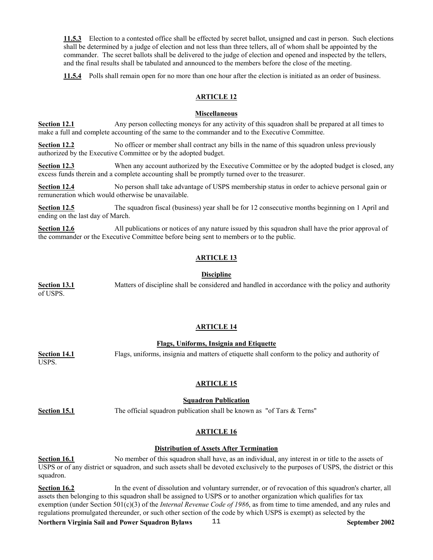**11.5.3** Election to a contested office shall be effected by secret ballot, unsigned and cast in person. Such elections shall be determined by a judge of election and not less than three tellers, all of whom shall be appointed by the commander. The secret ballots shall be delivered to the judge of election and opened and inspected by the tellers, and the final results shall be tabulated and announced to the members before the close of the meeting.

**11.5.4** Polls shall remain open for no more than one hour after the election is initiated as an order of business.

### **ARTICLE 12**

### **Miscellaneous**

**Section 12.1** Any person collecting moneys for any activity of this squadron shall be prepared at all times to make a full and complete accounting of the same to the commander and to the Executive Committee.

**Section 12.2** No officer or member shall contract any bills in the name of this squadron unless previously authorized by the Executive Committee or by the adopted budget.

**Section 12.3** When any account authorized by the Executive Committee or by the adopted budget is closed, any excess funds therein and a complete accounting shall be promptly turned over to the treasurer.

**Section 12.4** No person shall take advantage of USPS membership status in order to achieve personal gain or remuneration which would otherwise be unavailable.

**Section 12.5** The squadron fiscal (business) year shall be for 12 consecutive months beginning on 1 April and ending on the last day of March.

**Section 12.6** All publications or notices of any nature issued by this squadron shall have the prior approval of the commander or the Executive Committee before being sent to members or to the public.

## **ARTICLE 13**

### **Discipline**

**Section 13.1** Matters of discipline shall be considered and handled in accordance with the policy and authority of USPS.

### **ARTICLE 14**

### **Flags, Uniforms, Insignia and Etiquette**

**Section 14.1** Flags, uniforms, insignia and matters of etiquette shall conform to the policy and authority of

**ARTICLE 15**

### **Squadron Publication**

USPS.

**Section 15.1** The official squadron publication shall be known as "of Tars & Terns"

# **ARTICLE 16**

## **Distribution of Assets After Termination**

**Section 16.1** No member of this squadron shall have, as an individual, any interest in or title to the assets of USPS or of any district or squadron, and such assets shall be devoted exclusively to the purposes of USPS, the district or this squadron.

**Section 16.2** In the event of dissolution and voluntary surrender, or of revocation of this squadron's charter, all assets then belonging to this squadron shall be assigned to USPS or to another organization which qualifies for tax exemption (under Section 501(c)(3) of the *Internal Revenue Code of 1986*, as from time to time amended, and any rules and regulations promulgated thereunder, or such other section of the code by which USPS is exempt) as selected by the

**Northern Virginia Sail and Power Squadron Bylaws September 2002** 11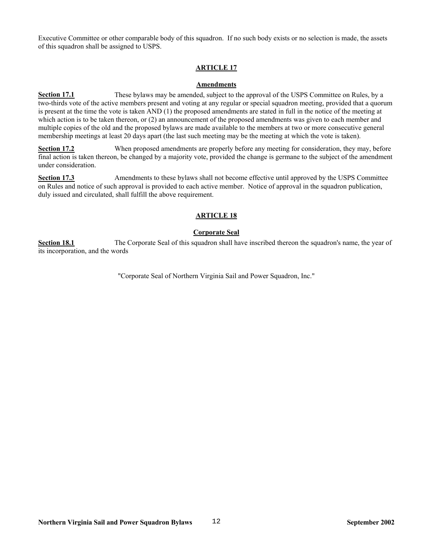Executive Committee or other comparable body of this squadron. If no such body exists or no selection is made, the assets of this squadron shall be assigned to USPS.

### **ARTICLE 17**

### **Amendments**

**Section 17.1** These bylaws may be amended, subject to the approval of the USPS Committee on Rules, by a two-thirds vote of the active members present and voting at any regular or special squadron meeting, provided that a quorum is present at the time the vote is taken AND (1) the proposed amendments are stated in full in the notice of the meeting at which action is to be taken thereon, or (2) an announcement of the proposed amendments was given to each member and multiple copies of the old and the proposed bylaws are made available to the members at two or more consecutive general membership meetings at least 20 days apart (the last such meeting may be the meeting at which the vote is taken).

**Section 17.2** When proposed amendments are properly before any meeting for consideration, they may, before final action is taken thereon, be changed by a majority vote, provided the change is germane to the subject of the amendment under consideration.

**Section 17.3** Amendments to these bylaws shall not become effective until approved by the USPS Committee on Rules and notice of such approval is provided to each active member. Notice of approval in the squadron publication, duly issued and circulated, shall fulfill the above requirement.

### **ARTICLE 18**

### **Corporate Seal**

**Section 18.1** The Corporate Seal of this squadron shall have inscribed thereon the squadron's name, the year of its incorporation, and the words

"Corporate Seal of Northern Virginia Sail and Power Squadron, Inc."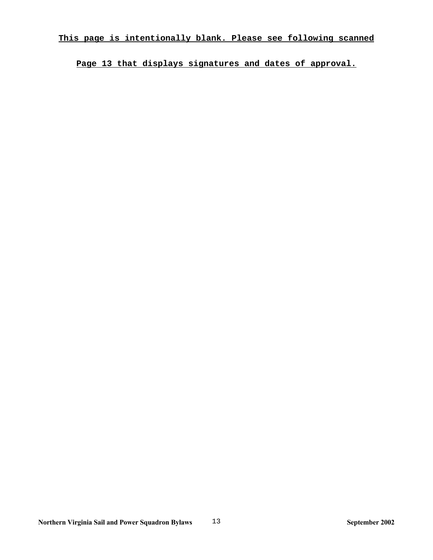**Page 13 that displays signatures and dates of approval.**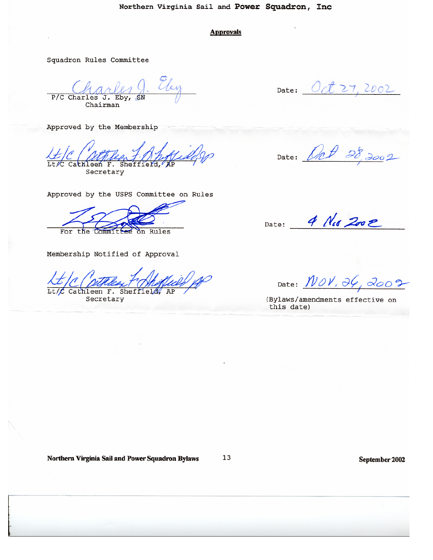### **Approvals**

Squadron Rules Committee

Ely P/C Charles J. Eby Chairman

Approved by the Membership

Cathleen F. Sheffield Secretary

Approved by the USPS Committee on Rules

on Rules For the Committ

Membership Notified of Approval

Cathleen F. Sheffi

Secretary

Date:  $Oct27, 2002$ 

Date: Ort 28, 2002

Date: 4 Nes 2002

Date:  $NON, 36, 2002$ 

(Bylaws/amendments effective on this date)

Northern Virginia Sail and Power Squadron Bylaws

13

September 2002